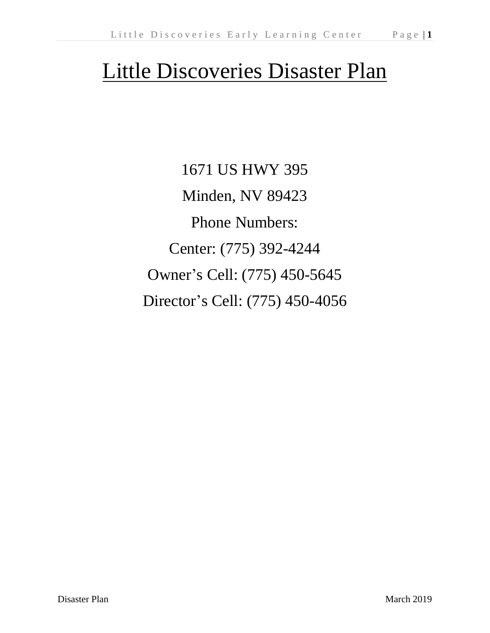# Little Discoveries Disaster Plan

1671 US HWY 395 Minden, NV 89423 Phone Numbers: Center: (775) 392-4244 Owner's Cell: (775) 450-5645 Director's Cell: (775) 450-4056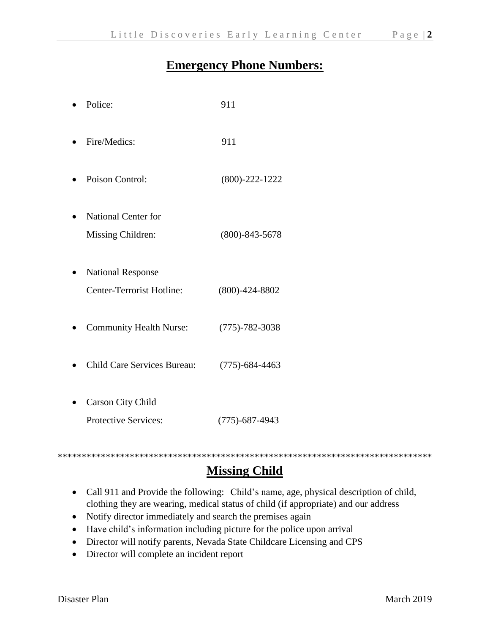#### **Emergency Phone Numbers:**

| Police:                                               | 911                  |
|-------------------------------------------------------|----------------------|
| Fire/Medics:                                          | 911                  |
| Poison Control:                                       | $(800)-222-1222$     |
| <b>National Center for</b><br>Missing Children:       | $(800) - 843 - 5678$ |
| <b>National Response</b><br>Center-Terrorist Hotline: | $(800)-424-8802$     |
| <b>Community Health Nurse:</b>                        | $(775) - 782 - 3038$ |
| <b>Child Care Services Bureau:</b>                    | $(775) - 684 - 4463$ |
| <b>Carson City Child</b>                              |                      |
| Protective Services:                                  | $(775) - 687 - 4943$ |

#### \*\*\*\*\*\*\*\*\*\*\*\*\*\*\*\*\*\*\*\*\*\*\*\*\*\*\*\*\*\*\*\*\*\*\*\*\*\*\*\*\*\*\*\*\*\*\*\*\*\*\*\*\*\*\*\*\*\*\*\*\*\*\*\*\*\*\*\*\*\*\*\*\*\*\*\*\*\* **Missing Child**

- Call 911 and Provide the following: Child's name, age, physical description of child, clothing they are wearing, medical status of child (if appropriate) and our address
- Notify director immediately and search the premises again
- Have child's information including picture for the police upon arrival
- Director will notify parents, Nevada State Childcare Licensing and CPS
- Director will complete an incident report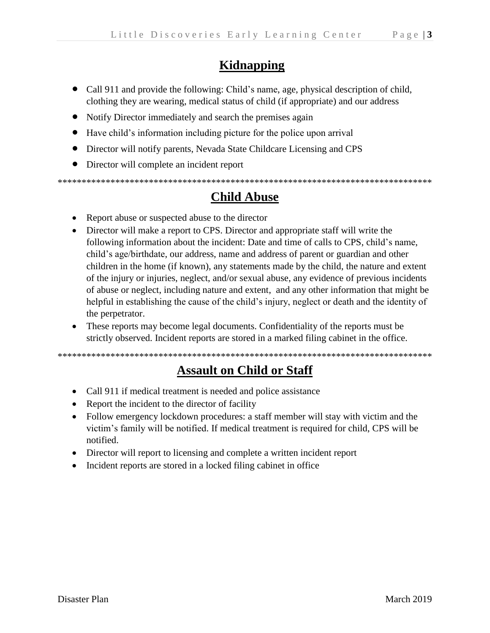# **Kidnapping**

- Call 911 and provide the following: Child's name, age, physical description of child, clothing they are wearing, medical status of child (if appropriate) and our address
- Notify Director immediately and search the premises again
- Have child's information including picture for the police upon arrival
- Director will notify parents, Nevada State Childcare Licensing and CPS
- Director will complete an incident report

# **Child Abuse**

- Report abuse or suspected abuse to the director
- Director will make a report to CPS. Director and appropriate staff will write the following information about the incident: Date and time of calls to CPS, child's name, child's age/birthdate, our address, name and address of parent or guardian and other children in the home (if known), any statements made by the child, the nature and extent of the injury or injuries, neglect, and/or sexual abuse, any evidence of previous incidents of abuse or neglect, including nature and extent, and any other information that might be helpful in establishing the cause of the child's injury, neglect or death and the identity of the perpetrator.
- These reports may become legal documents. Confidentiality of the reports must be strictly observed. Incident reports are stored in a marked filing cabinet in the office.

## **Assault on Child or Staff**

- Call 911 if medical treatment is needed and police assistance
- Report the incident to the director of facility
- Follow emergency lockdown procedures: a staff member will stay with victim and the victim's family will be notified. If medical treatment is required for child, CPS will be notified.
- Director will report to licensing and complete a written incident report
- Incident reports are stored in a locked filing cabinet in office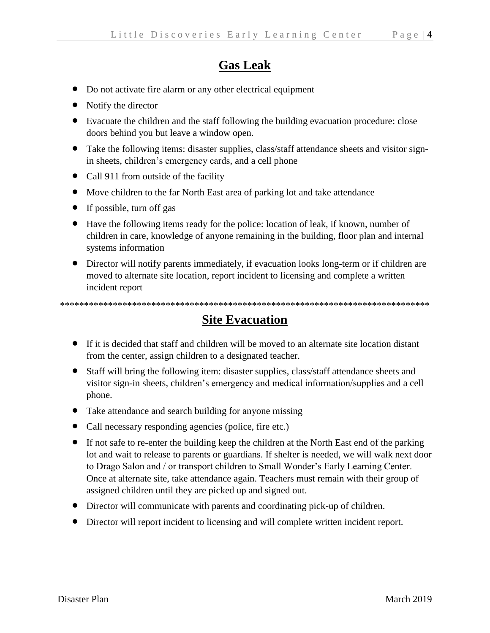# **Gas Leak**

- Do not activate fire alarm or any other electrical equipment
- Notify the director
- Evacuate the children and the staff following the building evacuation procedure: close doors behind you but leave a window open.
- Take the following items: disaster supplies, class/staff attendance sheets and visitor signin sheets, children's emergency cards, and a cell phone
- Call 911 from outside of the facility
- Move children to the far North East area of parking lot and take attendance
- If possible, turn off gas
- Have the following items ready for the police: location of leak, if known, number of children in care, knowledge of anyone remaining in the building, floor plan and internal systems information
- Director will notify parents immediately, if evacuation looks long-term or if children are moved to alternate site location, report incident to licensing and complete a written incident report

\*\*\*\*\*\*\*\*\*\*\*\*\*\*\*\*\*\*\*\*\*\*\*\*\*\*\*\*\*\*\*\*\*\*\*\*\*\*\*\*\*\*\*\*\*\*\*\*\*\*\*\*\*\*\*\*\*\*\*\*\*\*\*\*\*\*\*\*\*\*\*\*\*\*\*\*\*

#### **Site Evacuation**

- If it is decided that staff and children will be moved to an alternate site location distant from the center, assign children to a designated teacher.
- Staff will bring the following item: disaster supplies, class/staff attendance sheets and visitor sign-in sheets, children's emergency and medical information/supplies and a cell phone.
- Take attendance and search building for anyone missing
- Call necessary responding agencies (police, fire etc.)
- If not safe to re-enter the building keep the children at the North East end of the parking lot and wait to release to parents or guardians. If shelter is needed, we will walk next door to Drago Salon and / or transport children to Small Wonder's Early Learning Center. Once at alternate site, take attendance again. Teachers must remain with their group of assigned children until they are picked up and signed out.
- Director will communicate with parents and coordinating pick-up of children.
- Director will report incident to licensing and will complete written incident report.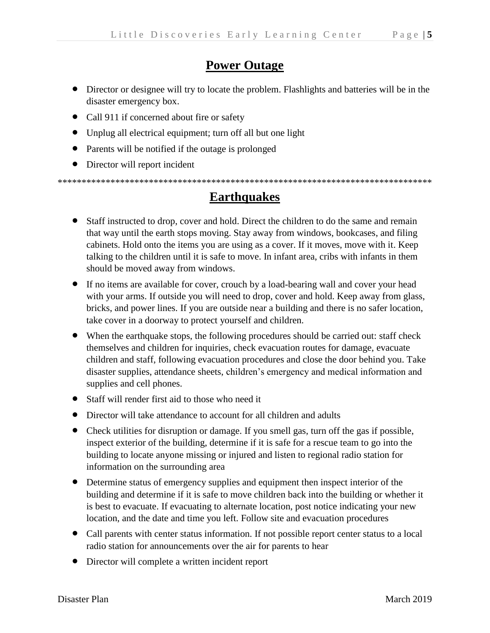## **Power Outage**

- Director or designee will try to locate the problem. Flashlights and batteries will be in the disaster emergency box.
- Call 911 if concerned about fire or safety
- Unplug all electrical equipment; turn off all but one light
- Parents will be notified if the outage is prolonged
- Director will report incident

\*\*\*\*\*\*\*\*\*\*\*\*\*\*\*\*\*\*\*\*\*\*\*\*\*\*\*\*\*\*\*\*\*\*\*\*\*\*\*\*\*\*\*\*\*\*\*\*\*\*\*\*\*\*\*\*\*\*\*\*\*\*\*\*\*\*\*\*\*\*\*\*\*\*\*\*\*\*

## **Earthquakes**

- Staff instructed to drop, cover and hold. Direct the children to do the same and remain that way until the earth stops moving. Stay away from windows, bookcases, and filing cabinets. Hold onto the items you are using as a cover. If it moves, move with it. Keep talking to the children until it is safe to move. In infant area, cribs with infants in them should be moved away from windows.
- If no items are available for cover, crouch by a load-bearing wall and cover your head with your arms. If outside you will need to drop, cover and hold. Keep away from glass, bricks, and power lines. If you are outside near a building and there is no safer location, take cover in a doorway to protect yourself and children.
- When the earthquake stops, the following procedures should be carried out: staff check themselves and children for inquiries, check evacuation routes for damage, evacuate children and staff, following evacuation procedures and close the door behind you. Take disaster supplies, attendance sheets, children's emergency and medical information and supplies and cell phones.
- Staff will render first aid to those who need it
- Director will take attendance to account for all children and adults
- Check utilities for disruption or damage. If you smell gas, turn off the gas if possible, inspect exterior of the building, determine if it is safe for a rescue team to go into the building to locate anyone missing or injured and listen to regional radio station for information on the surrounding area
- Determine status of emergency supplies and equipment then inspect interior of the building and determine if it is safe to move children back into the building or whether it is best to evacuate. If evacuating to alternate location, post notice indicating your new location, and the date and time you left. Follow site and evacuation procedures
- Call parents with center status information. If not possible report center status to a local radio station for announcements over the air for parents to hear
- Director will complete a written incident report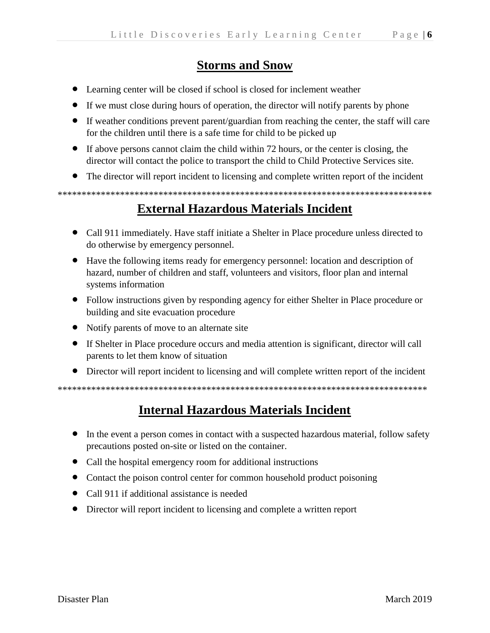#### **Storms and Snow**

- Learning center will be closed if school is closed for inclement weather
- If we must close during hours of operation, the director will notify parents by phone
- If weather conditions prevent parent/guardian from reaching the center, the staff will care for the children until there is a safe time for child to be picked up
- If above persons cannot claim the child within 72 hours, or the center is closing, the director will contact the police to transport the child to Child Protective Services site.
- The director will report incident to licensing and complete written report of the incident

**External Hazardous Materials Incident** 

- Call 911 immediately. Have staff initiate a Shelter in Place procedure unless directed to do otherwise by emergency personnel.
- Have the following items ready for emergency personnel: location and description of hazard, number of children and staff, volunteers and visitors, floor plan and internal systems information
- Follow instructions given by responding agency for either Shelter in Place procedure or building and site evacuation procedure
- Notify parents of move to an alternate site
- If Shelter in Place procedure occurs and media attention is significant, director will call parents to let them know of situation
- Director will report incident to licensing and will complete written report of the incident

#### **Internal Hazardous Materials Incident**

- In the event a person comes in contact with a suspected hazardous material, follow safety precautions posted on-site or listed on the container.
- Call the hospital emergency room for additional instructions
- Contact the poison control center for common household product poisoning
- Call 911 if additional assistance is needed
- Director will report incident to licensing and complete a written report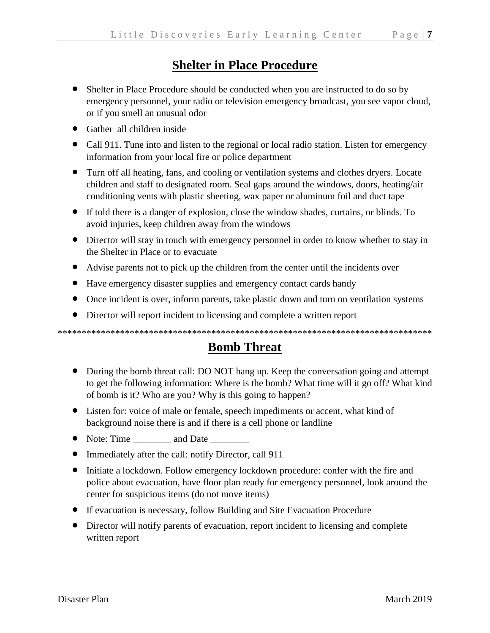## **Shelter in Place Procedure**

- Shelter in Place Procedure should be conducted when you are instructed to do so by emergency personnel, your radio or television emergency broadcast, you see vapor cloud, or if you smell an unusual odor
- Gather all children inside
- Call 911. Tune into and listen to the regional or local radio station. Listen for emergency information from your local fire or police department
- Turn off all heating, fans, and cooling or ventilation systems and clothes dryers. Locate children and staff to designated room. Seal gaps around the windows, doors, heating/air conditioning vents with plastic sheeting, wax paper or aluminum foil and duct tape
- If told there is a danger of explosion, close the window shades, curtains, or blinds. To avoid injuries, keep children away from the windows
- Director will stay in touch with emergency personnel in order to know whether to stay in the Shelter in Place or to evacuate
- Advise parents not to pick up the children from the center until the incidents over
- Have emergency disaster supplies and emergency contact cards handy
- Once incident is over, inform parents, take plastic down and turn on ventilation systems
- Director will report incident to licensing and complete a written report

\*\*\*\*\*\*\*\*\*\*\*\*\*\*\*\*\*\*\*\*\*\*\*\*\*\*\*\*\*\*\*\*\*\*\*\*\*\*\*\*\*\*\*\*\*\*\*\*\*\*\*\*\*\*\*\*\*\*\*\*\*\*\*\*\*\*\*\*\*\*\*\*\*\*\*\*\*\*

#### **Bomb Threat**

- During the bomb threat call: DO NOT hang up. Keep the conversation going and attempt to get the following information: Where is the bomb? What time will it go off? What kind of bomb is it? Who are you? Why is this going to happen?
- Listen for: voice of male or female, speech impediments or accent, what kind of background noise there is and if there is a cell phone or landline
- Note: Time \_\_\_\_\_\_\_\_\_ and Date \_\_\_\_\_\_\_\_
- Immediately after the call: notify Director, call 911
- Initiate a lockdown. Follow emergency lockdown procedure: confer with the fire and police about evacuation, have floor plan ready for emergency personnel, look around the center for suspicious items (do not move items)
- If evacuation is necessary, follow Building and Site Evacuation Procedure
- Director will notify parents of evacuation, report incident to licensing and complete written report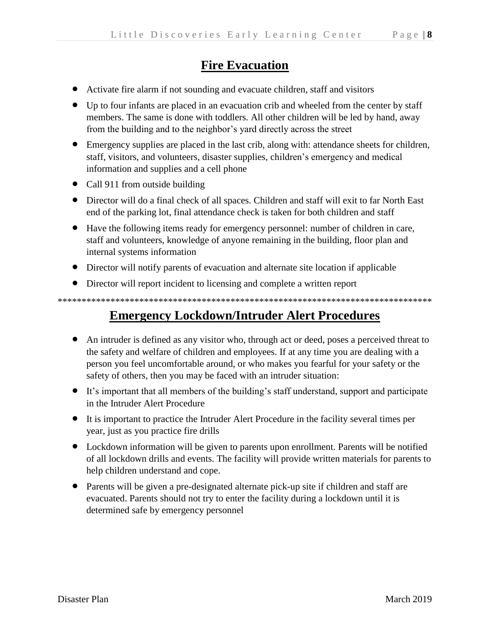## **Fire Evacuation**

- Activate fire alarm if not sounding and evacuate children, staff and visitors
- Up to four infants are placed in an evacuation crib and wheeled from the center by staff members. The same is done with toddlers. All other children will be led by hand, away from the building and to the neighbor's yard directly across the street
- Emergency supplies are placed in the last crib, along with: attendance sheets for children, staff, visitors, and volunteers, disaster supplies, children's emergency and medical information and supplies and a cell phone
- Call 911 from outside building
- Director will do a final check of all spaces. Children and staff will exit to far North East end of the parking lot, final attendance check is taken for both children and staff
- Have the following items ready for emergency personnel: number of children in care, staff and volunteers, knowledge of anyone remaining in the building, floor plan and internal systems information
- Director will notify parents of evacuation and alternate site location if applicable
- Director will report incident to licensing and complete a written report

\*\*\*\*\*\*\*\*\*\*\*\*\*\*\*\*\*\*\*\*\*\*\*\*\*\*\*\*\*\*\*\*\*\*\*\*\*\*\*\*\*\*\*\*\*\*\*\*\*\*\*\*\*\*\*\*\*\*\*\*\*\*\*\*\*\*\*\*\*\*\*\*\*\*\*\*\*\*

#### **Emergency Lockdown/Intruder Alert Procedures**

- An intruder is defined as any visitor who, through act or deed, poses a perceived threat to the safety and welfare of children and employees. If at any time you are dealing with a person you feel uncomfortable around, or who makes you fearful for your safety or the safety of others, then you may be faced with an intruder situation:
- It's important that all members of the building's staff understand, support and participate in the Intruder Alert Procedure
- It is important to practice the Intruder Alert Procedure in the facility several times per year, just as you practice fire drills
- Lockdown information will be given to parents upon enrollment. Parents will be notified of all lockdown drills and events. The facility will provide written materials for parents to help children understand and cope.
- Parents will be given a pre-designated alternate pick-up site if children and staff are evacuated. Parents should not try to enter the facility during a lockdown until it is determined safe by emergency personnel